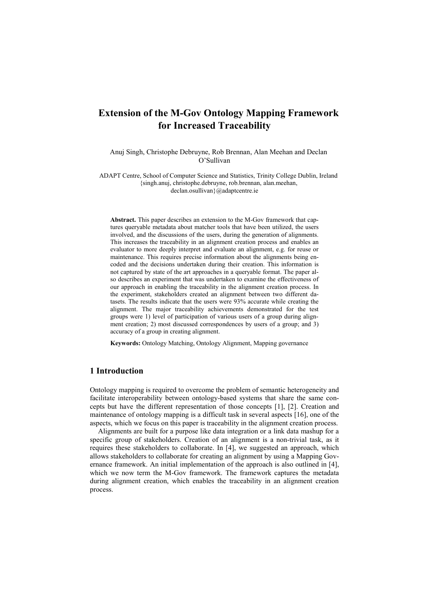# **Extension of the M-Gov Ontology Mapping Framework for Increased Traceability**

Anuj Singh, Christophe Debruyne, Rob Brennan, Alan Meehan and Declan O'Sullivan

ADAPT Centre, School of Computer Science and Statistics, Trinity College Dublin, Ireland {singh.anuj, christophe.debruyne, rob.brennan, alan.meehan, declan.osullivan}@adaptcentre.ie

**Abstract.** This paper describes an extension to the M-Gov framework that captures queryable metadata about matcher tools that have been utilized, the users involved, and the discussions of the users, during the generation of alignments. This increases the traceability in an alignment creation process and enables an evaluator to more deeply interpret and evaluate an alignment, e.g. for reuse or maintenance. This requires precise information about the alignments being encoded and the decisions undertaken during their creation. This information is not captured by state of the art approaches in a queryable format. The paper also describes an experiment that was undertaken to examine the effectiveness of our approach in enabling the traceability in the alignment creation process. In the experiment, stakeholders created an alignment between two different datasets. The results indicate that the users were 93% accurate while creating the alignment. The major traceability achievements demonstrated for the test groups were 1) level of participation of various users of a group during alignment creation; 2) most discussed correspondences by users of a group; and 3) accuracy of a group in creating alignment.

**Keywords:** Ontology Matching, Ontology Alignment, Mapping governance

# **1 Introduction**

Ontology mapping is required to overcome the problem of semantic heterogeneity and facilitate interoperability between ontology-based systems that share the same concepts but have the different representation of those concepts [1], [2]. Creation and maintenance of ontology mapping is a difficult task in several aspects [16], one of the aspects, which we focus on this paper is traceability in the alignment creation process.

Alignments are built for a purpose like data integration or a link data mashup for a specific group of stakeholders. Creation of an alignment is a non-trivial task, as it requires these stakeholders to collaborate. In [4], we suggested an approach, which allows stakeholders to collaborate for creating an alignment by using a Mapping Governance framework. An initial implementation of the approach is also outlined in [4], which we now term the M-Gov framework. The framework captures the metadata during alignment creation, which enables the traceability in an alignment creation process.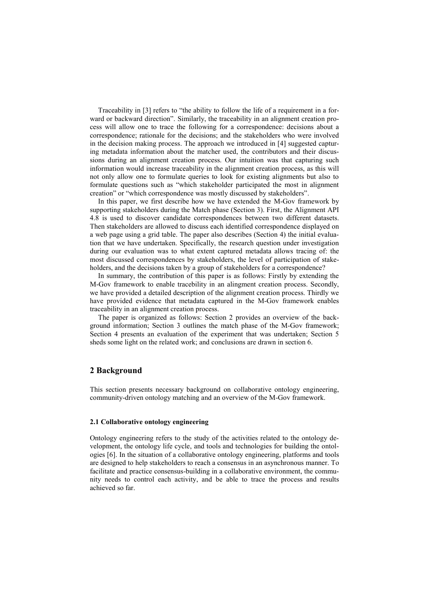Traceability in [3] refers to "the ability to follow the life of a requirement in a forward or backward direction". Similarly, the traceability in an alignment creation process will allow one to trace the following for a correspondence: decisions about a correspondence; rationale for the decisions; and the stakeholders who were involved in the decision making process. The approach we introduced in [4] suggested capturing metadata information about the matcher used, the contributors and their discussions during an alignment creation process. Our intuition was that capturing such information would increase traceability in the alignment creation process, as this will not only allow one to formulate queries to look for existing alignments but also to formulate questions such as "which stakeholder participated the most in alignment creation" or "which correspondence was mostly discussed by stakeholders".

In this paper, we first describe how we have extended the M-Gov framework by supporting stakeholders during the Match phase (Section 3). First, the Alignment API 4.8 is used to discover candidate correspondences between two different datasets. Then stakeholders are allowed to discuss each identified correspondence displayed on a web page using a grid table. The paper also describes (Section 4) the initial evaluation that we have undertaken. Specifically, the research question under investigation during our evaluation was to what extent captured metadata allows tracing of: the most discussed correspondences by stakeholders, the level of participation of stakeholders, and the decisions taken by a group of stakeholders for a correspondence?

In summary, the contribution of this paper is as follows: Firstly by extending the M-Gov framework to enable tracebility in an alingment creation process. Secondly, we have provided a detailed description of the alignment creation process. Thirdly we have provided evidence that metadata captured in the M-Gov framework enables traceability in an alignment creation process.

The paper is organized as follows: Section 2 provides an overview of the background information; Section 3 outlines the match phase of the M-Gov framework; Section 4 presents an evaluation of the experiment that was undertaken; Section 5 sheds some light on the related work; and conclusions are drawn in section 6.

### **2 Background**

This section presents necessary background on collaborative ontology engineering, community-driven ontology matching and an overview of the M-Gov framework.

#### **2.1 Collaborative ontology engineering**

Ontology engineering refers to the study of the activities related to the ontology development, the ontology life cycle, and tools and technologies for building the ontologies [6]. In the situation of a collaborative ontology engineering, platforms and tools are designed to help stakeholders to reach a consensus in an asynchronous manner. To facilitate and practice consensus-building in a collaborative environment, the community needs to control each activity, and be able to trace the process and results achieved so far.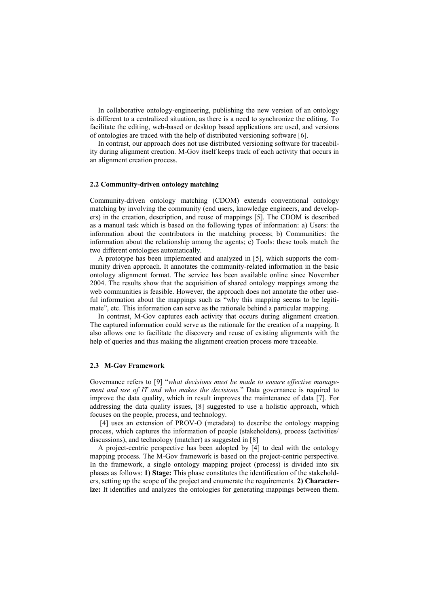In collaborative ontology-engineering, publishing the new version of an ontology is different to a centralized situation, as there is a need to synchronize the editing. To facilitate the editing, web-based or desktop based applications are used, and versions of ontologies are traced with the help of distributed versioning software [6].

In contrast, our approach does not use distributed versioning software for traceability during alignment creation. M-Gov itself keeps track of each activity that occurs in an alignment creation process.

### **2.2 Community-driven ontology matching**

Community-driven ontology matching (CDOM) extends conventional ontology matching by involving the community (end users, knowledge engineers, and developers) in the creation, description, and reuse of mappings [5]. The CDOM is described as a manual task which is based on the following types of information: a) Users: the information about the contributors in the matching process; b) Communities: the information about the relationship among the agents; c) Tools: these tools match the two different ontologies automatically.

A prototype has been implemented and analyzed in [5], which supports the community driven approach. It annotates the community-related information in the basic ontology alignment format. The service has been available online since November 2004. The results show that the acquisition of shared ontology mappings among the web communities is feasible. However, the approach does not annotate the other useful information about the mappings such as "why this mapping seems to be legitimate", etc. This information can serve as the rationale behind a particular mapping.

In contrast, M-Gov captures each activity that occurs during alignment creation. The captured information could serve as the rationale for the creation of a mapping. It also allows one to facilitate the discovery and reuse of existing alignments with the help of queries and thus making the alignment creation process more traceable.

#### **2.3 M-Gov Framework**

Governance refers to [9] "*what decisions must be made to ensure effective management and use of IT and who makes the decisions.*" Data governance is required to improve the data quality, which in result improves the maintenance of data [7]. For addressing the data quality issues, [8] suggested to use a holistic approach, which focuses on the people, process, and technology.

[4] uses an extension of PROV-O (metadata) to describe the ontology mapping process, which captures the information of people (stakeholders), process (activities/ discussions), and technology (matcher) as suggested in [8]

A project-centric perspective has been adopted by [4] to deal with the ontology mapping process. The M-Gov framework is based on the project-centric perspective. In the framework, a single ontology mapping project (process) is divided into six phases as follows: **1) Stage:** This phase constitutes the identification of the stakeholders, setting up the scope of the project and enumerate the requirements. **2) Characterize:** It identifies and analyzes the ontologies for generating mappings between them.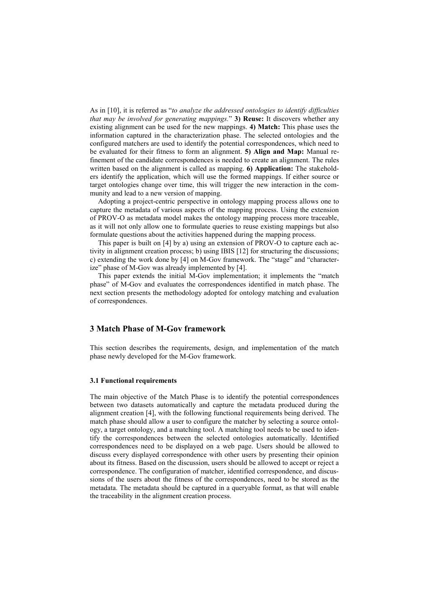As in [10], it is referred as "*to analyze the addressed ontologies to identify difficulties that may be involved for generating mappings.*" **3) Reuse:** It discovers whether any existing alignment can be used for the new mappings. **4) Match:** This phase uses the information captured in the characterization phase. The selected ontologies and the configured matchers are used to identify the potential correspondences, which need to be evaluated for their fitness to form an alignment. **5) Align and Map:** Manual refinement of the candidate correspondences is needed to create an alignment. The rules written based on the alignment is called as mapping. **6) Application:** The stakeholders identify the application, which will use the formed mappings. If either source or target ontologies change over time, this will trigger the new interaction in the community and lead to a new version of mapping.

Adopting a project-centric perspective in ontology mapping process allows one to capture the metadata of various aspects of the mapping process. Using the extension of PROV-O as metadata model makes the ontology mapping process more traceable, as it will not only allow one to formulate queries to reuse existing mappings but also formulate questions about the activities happened during the mapping process.

This paper is built on [4] by a) using an extension of PROV-O to capture each activity in alignment creation process; b) using IBIS [12] for structuring the discussions; c) extending the work done by [4] on M-Gov framework. The "stage" and "characterize" phase of M-Gov was already implemented by [4].

This paper extends the initial M-Gov implementation; it implements the "match phase" of M-Gov and evaluates the correspondences identified in match phase. The next section presents the methodology adopted for ontology matching and evaluation of correspondences.

# **3 Match Phase of M-Gov framework**

This section describes the requirements, design, and implementation of the match phase newly developed for the M-Gov framework.

#### **3.1 Functional requirements**

The main objective of the Match Phase is to identify the potential correspondences between two datasets automatically and capture the metadata produced during the alignment creation [4], with the following functional requirements being derived. The match phase should allow a user to configure the matcher by selecting a source ontology, a target ontology, and a matching tool. A matching tool needs to be used to identify the correspondences between the selected ontologies automatically. Identified correspondences need to be displayed on a web page. Users should be allowed to discuss every displayed correspondence with other users by presenting their opinion about its fitness. Based on the discussion, users should be allowed to accept or reject a correspondence. The configuration of matcher, identified correspondence, and discussions of the users about the fitness of the correspondences, need to be stored as the metadata. The metadata should be captured in a queryable format, as that will enable the traceability in the alignment creation process.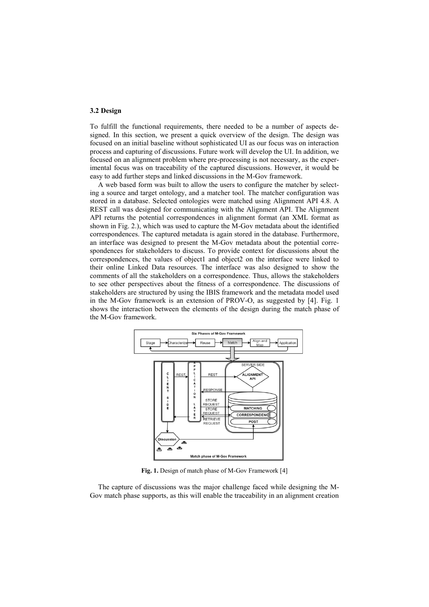#### **3.2 Design**

To fulfill the functional requirements, there needed to be a number of aspects designed. In this section, we present a quick overview of the design. The design was focused on an initial baseline without sophisticated UI as our focus was on interaction process and capturing of discussions. Future work will develop the UI. In addition, we focused on an alignment problem where pre-processing is not necessary, as the experimental focus was on traceability of the captured discussions. However, it would be easy to add further steps and linked discussions in the M-Gov framework.

A web based form was built to allow the users to configure the matcher by selecting a source and target ontology, and a matcher tool. The matcher configuration was stored in a database. Selected ontologies were matched using Alignment API 4.8. A REST call was designed for communicating with the Alignment API. The Alignment API returns the potential correspondences in alignment format (an XML format as shown in Fig. 2.), which was used to capture the M-Gov metadata about the identified correspondences. The captured metadata is again stored in the database. Furthermore, an interface was designed to present the M-Gov metadata about the potential correspondences for stakeholders to discuss. To provide context for discussions about the correspondences, the values of object1 and object2 on the interface were linked to their online Linked Data resources. The interface was also designed to show the comments of all the stakeholders on a correspondence. Thus, allows the stakeholders to see other perspectives about the fitness of a correspondence. The discussions of stakeholders are structured by using the IBIS framework and the metadata model used in the M-Gov framework is an extension of PROV-O, as suggested by [4]. Fig. 1 shows the interaction between the elements of the design during the match phase of the M-Gov framework.



**Fig. 1.** Design of match phase of M-Gov Framework [4]

The capture of discussions was the major challenge faced while designing the M-Gov match phase supports, as this will enable the traceability in an alignment creation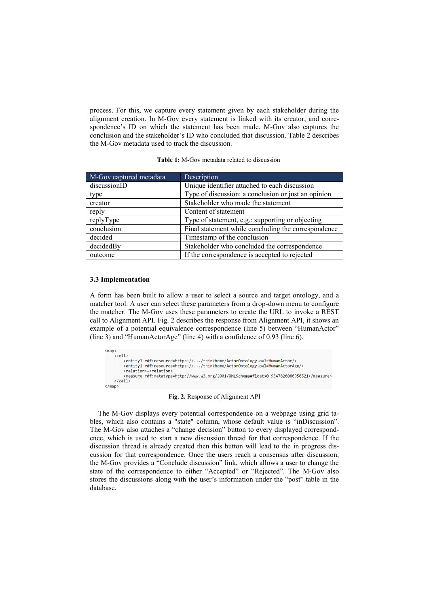process. For this, we capture every statement given by each stakeholder during the alignment creation. In M-Gov every statement is linked with its creator, and correspondence's ID on which the statement has been made. M-Gov also captures the conclusion and the stakeholder's ID who concluded that discussion. Table 2 describes the M-Gov metadata used to track the discussion.

| <b>Table 1:</b> M-Gov metadata related to discussion |  |  |  |  |
|------------------------------------------------------|--|--|--|--|
|------------------------------------------------------|--|--|--|--|

| M-Gov captured metadata | Description                                         |
|-------------------------|-----------------------------------------------------|
| discussionID            | Unique identifier attached to each discussion       |
| type                    | Type of discussion: a conclusion or just an opinion |
| creator                 | Stakeholder who made the statement                  |
| reply                   | Content of statement                                |
| replyType               | Type of statement, e.g.: supporting or objecting    |
| conclusion              | Final statement while concluding the correspondence |
| decided                 | Timestamp of the conclusion                         |
| decidedBy               | Stakeholder who concluded the correspondence        |
| outcome                 | If the correspondence is accepted to rejected       |

### **3.3 Implementation**

A form has been built to allow a user to select a source and target ontology, and a matcher tool. A user can select these parameters from a drop-down menu to configure the matcher. The M-Gov uses these parameters to create the URL to invoke a REST call to Alignment API. Fig. 2 describes the response from Alignment API, it shows an example of a potential equivalence correspondence (line 5) between "HumanActor" (line 3) and "HumanActorAge" (line 4) with a confidence of 0.93 (line 6).



#### **Fig. 2.** Response of Alignment API

The M-Gov displays every potential correspondence on a webpage using grid tables, which also contains a "state" column, whose default value is "inDiscussion". The M-Gov also attaches a "change decision" button to every displayed correspondence, which is used to start a new discussion thread for that correspondence. If the discussion thread is already created then this button will lead to the in progress discussion for that correspondence. Once the users reach a consensus after discussion, the M-Gov provides a "Conclude discussion" link, which allows a user to change the state of the correspondence to either "Accepted" or "Rejected". The M-Gov also stores the discussions along with the user's information under the "post" table in the database.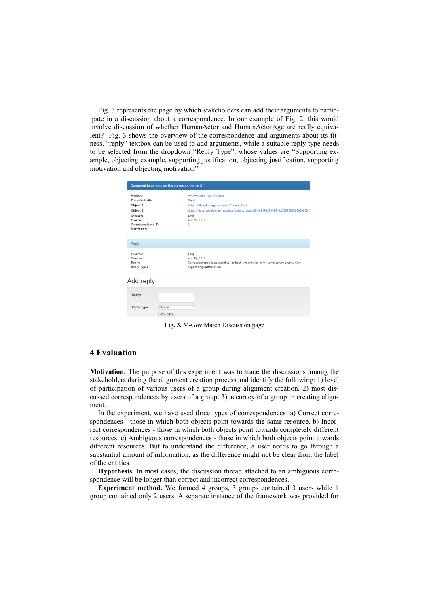Fig. 3 represents the page by which stakeholders can add their arguments to participate in a discussion about a correspondence. In our example of Fig. 2, this would involve discussion of whether HumanActor and HumanActorAge are really equivalent? Fig. 3 shows the overview of the correspondence and arguments about its fitness. "reply" textbox can be used to add arguments, while a suitable reply type needs to be selected from the dropdown "Reply Type", whose values are "Supporting example, objecting example, supporting justification, objecting justification, supporting motivation and objecting motivation".

| Comment to categorise the correspondence 3                |                                                                                                                                              |  |  |  |  |  |
|-----------------------------------------------------------|----------------------------------------------------------------------------------------------------------------------------------------------|--|--|--|--|--|
| Project:<br>Phase/Activity:                               | My Awesome Test Project!<br>Match                                                                                                            |  |  |  |  |  |
| Object 1:                                                 | http://dbpedia.org/resource/County_Cork                                                                                                      |  |  |  |  |  |
| Object 2:                                                 | http://data.geohive.ie/resource/county_council/2AE19629149313A3E05500000000001                                                               |  |  |  |  |  |
| Creator:<br>Created:<br>Correspondence ID:<br>Motivation: | anuj<br>Apr 25, 2017<br>3                                                                                                                    |  |  |  |  |  |
|                                                           |                                                                                                                                              |  |  |  |  |  |
| Reply                                                     |                                                                                                                                              |  |  |  |  |  |
| Creator:<br>Created:<br>Reply:<br><b>Reply Type:</b>      | anuj<br>Apr 25, 2017<br>Correspondence is acceptable, as both the entities point towards the county Cork.<br><b>Supporting Justification</b> |  |  |  |  |  |
| Add reply                                                 |                                                                                                                                              |  |  |  |  |  |
| Reply:                                                    |                                                                                                                                              |  |  |  |  |  |
| <b>Reply Type:</b>                                        | Choose<br>۷                                                                                                                                  |  |  |  |  |  |
|                                                           | Add reply                                                                                                                                    |  |  |  |  |  |

**Fig. 3.** M-Gov Match Discussion page

# **4 Evaluation**

**Motivation.** The purpose of this experiment was to trace the discussions among the stakeholders during the alignment creation process and identify the following: 1) level of participation of various users of a group during alignment creation. 2) most discussed correspondences by users of a group. 3) accuracy of a group in creating alignment.

In the experiment, we have used three types of correspondences: a) Correct correspondences - those in which both objects point towards the same resource. b) Incorrect correspondences - those in which both objects point towards completely different resources. c) Ambiguous correspondences - those in which both objects point towards different resources. But to understand the difference, a user needs to go through a substantial amount of information, as the difference might not be clear from the label of the entities.

**Hypothesis.** In most cases, the discussion thread attached to an ambiguous correspondence will be longer than correct and incorrect correspondences.

**Experiment method.** We formed 4 groups, 3 groups contained 3 users while 1 group contained only 2 users. A separate instance of the framework was provided for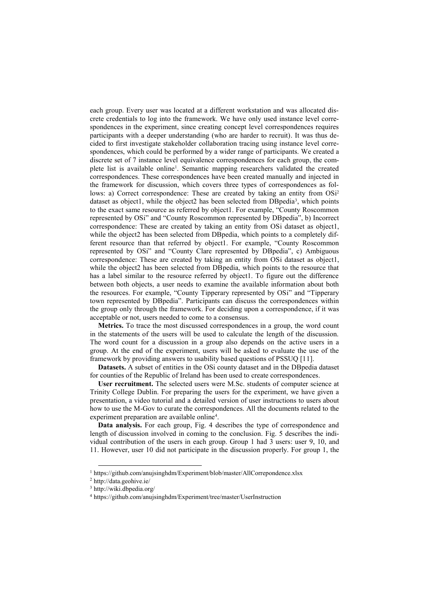each group. Every user was located at a different workstation and was allocated discrete credentials to log into the framework. We have only used instance level correspondences in the experiment, since creating concept level correspondences requires participants with a deeper understanding (who are harder to recruit). It was thus decided to first investigate stakeholder collaboration tracing using instance level correspondences, which could be performed by a wider range of participants. We created a discrete set of 7 instance level equivalence correspondences for each group, the complete list is available online<sup>1</sup>. Semantic mapping researchers validated the created correspondences. These correspondences have been created manually and injected in the framework for discussion, which covers three types of correspondences as follows: a) Correct correspondence: These are created by taking an entity from OSi<sup>2</sup> dataset as object1, while the object2 has been selected from DBpedia<sup>3</sup>, which points to the exact same resource as referred by object1. For example, "County Roscommon represented by OSi" and "County Roscommon represented by DBpedia", b) Incorrect correspondence: These are created by taking an entity from OSi dataset as object1, while the object2 has been selected from DBpedia, which points to a completely different resource than that referred by object1. For example, "County Roscommon represented by OSi" and "County Clare represented by DBpedia", c) Ambiguous correspondence: These are created by taking an entity from OSi dataset as object1, while the object2 has been selected from DBpedia, which points to the resource that has a label similar to the resource referred by object1. To figure out the difference between both objects, a user needs to examine the available information about both the resources. For example, "County Tipperary represented by OSi" and "Tipperary town represented by DBpedia". Participants can discuss the correspondences within the group only through the framework. For deciding upon a correspondence, if it was acceptable or not, users needed to come to a consensus.

**Metrics.** To trace the most discussed correspondences in a group, the word count in the statements of the users will be used to calculate the length of the discussion. The word count for a discussion in a group also depends on the active users in a group. At the end of the experiment, users will be asked to evaluate the use of the framework by providing answers to usability based questions of PSSUQ [11].

**Datasets.** A subset of entities in the OSi county dataset and in the DBpedia dataset for counties of the Republic of Ireland has been used to create correspondences.

**User recruitment.** The selected users were M.Sc. students of computer science at Trinity College Dublin. For preparing the users for the experiment, we have given a presentation, a video tutorial and a detailed version of user instructions to users about how to use the M-Gov to curate the correspondences. All the documents related to the experiment preparation are available online<sup>4</sup>.

**Data analysis.** For each group, Fig. 4 describes the type of correspondence and length of discussion involved in coming to the conclusion. Fig. 5 describes the individual contribution of the users in each group. Group 1 had 3 users: user 9, 10, and 11. However, user 10 did not participate in the discussion properly. For group 1, the

1

<sup>1</sup> https://github.com/anujsinghdm/Experiment/blob/master/AllCorrepondence.xlsx

<sup>2</sup> <http://data.geohive.ie/>

<sup>3</sup> http://wiki.dbpedia.org/

<sup>4</sup> https://github.com/anujsinghdm/Experiment/tree/master/UserInstruction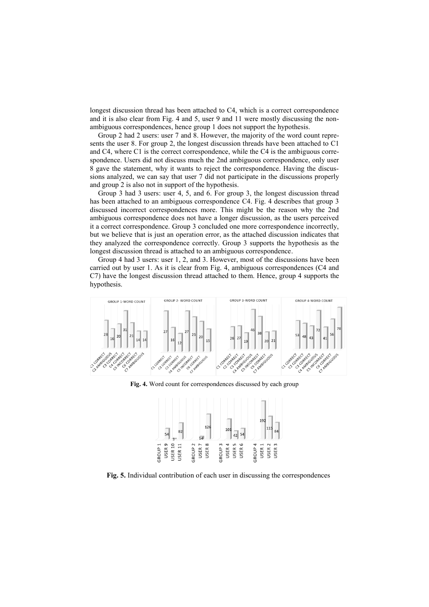longest discussion thread has been attached to C4, which is a correct correspondence and it is also clear from Fig. 4 and 5, user 9 and 11 were mostly discussing the nonambiguous correspondences, hence group 1 does not support the hypothesis.

Group 2 had 2 users: user 7 and 8. However, the majority of the word count represents the user 8. For group 2, the longest discussion threads have been attached to C1 and C4, where C1 is the correct correspondence, while the C4 is the ambiguous correspondence. Users did not discuss much the 2nd ambiguous correspondence, only user 8 gave the statement, why it wants to reject the correspondence. Having the discussions analyzed, we can say that user 7 did not participate in the discussions properly and group 2 is also not in support of the hypothesis.

Group 3 had 3 users: user 4, 5, and 6. For group 3, the longest discussion thread has been attached to an ambiguous correspondence C4. Fig. 4 describes that group 3 discussed incorrect correspondences more. This might be the reason why the 2nd ambiguous correspondence does not have a longer discussion, as the users perceived it a correct correspondence. Group 3 concluded one more correspondence incorrectly, but we believe that is just an operation error, as the attached discussion indicates that they analyzed the correspondence correctly. Group 3 supports the hypothesis as the longest discussion thread is attached to an ambiguous correspondence.

Group 4 had 3 users: user 1, 2, and 3. However, most of the discussions have been carried out by user 1. As it is clear from Fig. 4, ambiguous correspondences (C4 and C7) have the longest discussion thread attached to them. Hence, group 4 supports the hypothesis.



**Fig. 4.** Word count for correspondences discussed by each group



**Fig. 5.** Individual contribution of each user in discussing the correspondences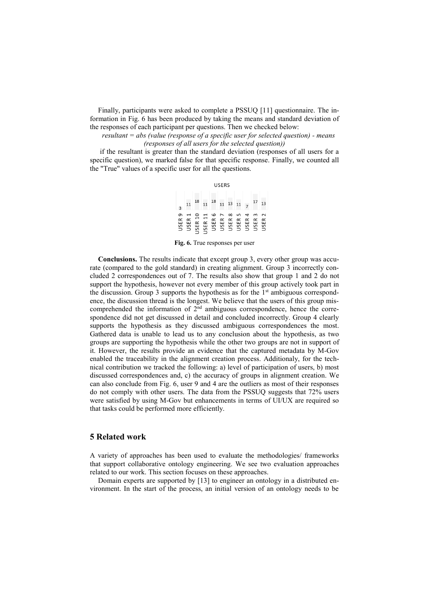Finally, participants were asked to complete a PSSUQ [11] questionnaire. The information in Fig. 6 has been produced by taking the means and standard deviation of the responses of each participant per questions. Then we checked below:

*resultant = abs (value (response of a specific user for selected question) - means (responses of all users for the selected question))*

if the resultant is greater than the standard deviation (responses of all users for a specific question), we marked false for that specific response. Finally, we counted all the "True" values of a specific user for all the questions.

**USERS** 

|   | 11 | 18 | 11             |  | $18$ 11 13 11 7 | 17                                                                                                 | 13 |
|---|----|----|----------------|--|-----------------|----------------------------------------------------------------------------------------------------|----|
| თ |    |    | $\overline{a}$ |  |                 | HOH ON 800 T M N<br>USER<br>USER 1<br>USER 1 USER 1<br>USER 1 USER 1<br>USER 1<br>USER 1<br>USER 1 |    |

**Fig. 6.** True responses per user

**Conclusions.** The results indicate that except group 3, every other group was accurate (compared to the gold standard) in creating alignment. Group 3 incorrectly concluded 2 correspondences out of 7. The results also show that group 1 and 2 do not support the hypothesis, however not every member of this group actively took part in the discussion. Group 3 supports the hypothesis as for the  $1<sup>st</sup>$  ambiguous correspondence, the discussion thread is the longest. We believe that the users of this group miscomprehended the information of  $2<sup>nd</sup>$  ambiguous correspondence, hence the correspondence did not get discussed in detail and concluded incorrectly. Group 4 clearly supports the hypothesis as they discussed ambiguous correspondences the most. Gathered data is unable to lead us to any conclusion about the hypothesis, as two groups are supporting the hypothesis while the other two groups are not in support of it. However, the results provide an evidence that the captured metadata by M-Gov enabled the traceability in the alignment creation process. Additionaly, for the technical contribution we tracked the following: a) level of participation of users, b) most discussed correspondences and, c) the accuracy of groups in alignment creation. We can also conclude from Fig. 6, user 9 and 4 are the outliers as most of their responses do not comply with other users. The data from the PSSUQ suggests that 72% users were satisfied by using M-Gov but enhancements in terms of UI/UX are required so that tasks could be performed more efficiently.

# **5 Related work**

A variety of approaches has been used to evaluate the methodologies/ frameworks that support collaborative ontology engineering. We see two evaluation approaches related to our work. This section focuses on these approaches.

Domain experts are supported by [13] to engineer an ontology in a distributed environment. In the start of the process, an initial version of an ontology needs to be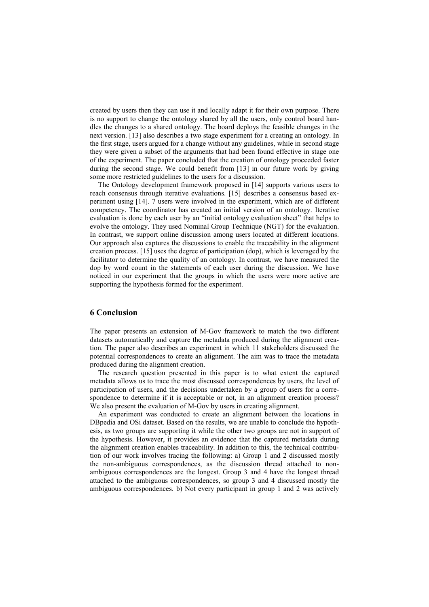created by users then they can use it and locally adapt it for their own purpose. There is no support to change the ontology shared by all the users, only control board handles the changes to a shared ontology. The board deploys the feasible changes in the next version. [13] also describes a two stage experiment for a creating an ontology. In the first stage, users argued for a change without any guidelines, while in second stage they were given a subset of the arguments that had been found effective in stage one of the experiment. The paper concluded that the creation of ontology proceeded faster during the second stage. We could benefit from [13] in our future work by giving some more restricted guidelines to the users for a discussion.

The Ontology development framework proposed in [14] supports various users to reach consensus through iterative evaluations. [15] describes a consensus based experiment using [14]. 7 users were involved in the experiment, which are of different competency. The coordinator has created an initial version of an ontology. Iterative evaluation is done by each user by an "initial ontology evaluation sheet" that helps to evolve the ontology. They used Nominal Group Technique (NGT) for the evaluation. In contrast, we support online discussion among users located at different locations. Our approach also captures the discussions to enable the traceability in the alignment creation process. [15] uses the degree of participation (dop), which is leveraged by the facilitator to determine the quality of an ontology. In contrast, we have measured the dop by word count in the statements of each user during the discussion. We have noticed in our experiment that the groups in which the users were more active are supporting the hypothesis formed for the experiment.

# **6 Conclusion**

The paper presents an extension of M-Gov framework to match the two different datasets automatically and capture the metadata produced during the alignment creation. The paper also describes an experiment in which 11 stakeholders discussed the potential correspondences to create an alignment. The aim was to trace the metadata produced during the alignment creation.

The research question presented in this paper is to what extent the captured metadata allows us to trace the most discussed correspondences by users, the level of participation of users, and the decisions undertaken by a group of users for a correspondence to determine if it is acceptable or not, in an alignment creation process? We also present the evaluation of M-Gov by users in creating alignment.

An experiment was conducted to create an alignment between the locations in DBpedia and OSi dataset. Based on the results, we are unable to conclude the hypothesis, as two groups are supporting it while the other two groups are not in support of the hypothesis. However, it provides an evidence that the captured metadata during the alignment creation enables traceability. In addition to this, the technical contribution of our work involves tracing the following: a) Group 1 and 2 discussed mostly the non-ambiguous correspondences, as the discussion thread attached to nonambiguous correspondences are the longest. Group 3 and 4 have the longest thread attached to the ambiguous correspondences, so group 3 and 4 discussed mostly the ambiguous correspondences. b) Not every participant in group 1 and 2 was actively